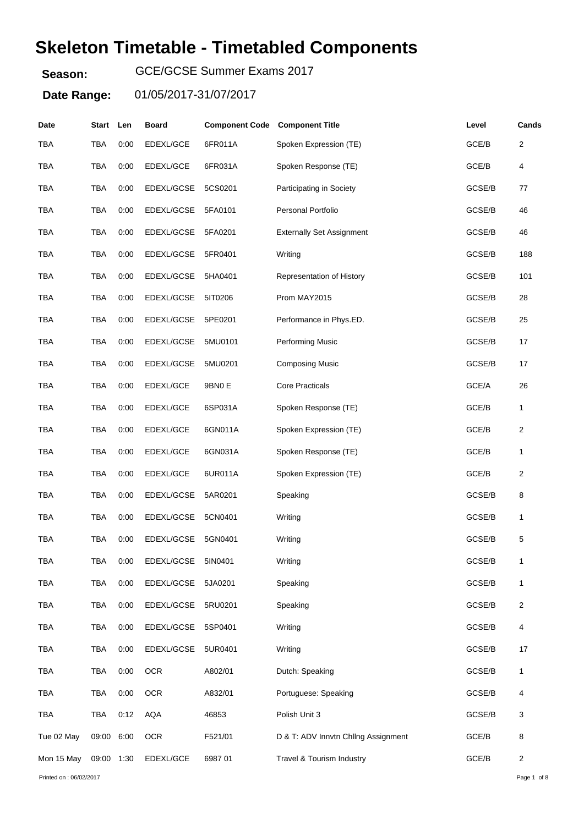# **Skeleton Timetable - Timetabled Components**

**Season:** GCE/GCSE Summer Exams 2017

| Date                    | Start Len  |      | <b>Board</b> | <b>Component Code Component Title</b> |                                     | Level  | Cands                   |
|-------------------------|------------|------|--------------|---------------------------------------|-------------------------------------|--------|-------------------------|
| <b>TBA</b>              | TBA        | 0:00 | EDEXL/GCE    | 6FR011A                               | Spoken Expression (TE)              | GCE/B  | $\overline{\mathbf{c}}$ |
| <b>TBA</b>              | TBA        | 0:00 | EDEXL/GCE    | 6FR031A                               | Spoken Response (TE)                | GCE/B  | 4                       |
| TBA                     | TBA        | 0:00 | EDEXL/GCSE   | 5CS0201                               | Participating in Society            | GCSE/B | 77                      |
| <b>TBA</b>              | TBA        | 0:00 | EDEXL/GCSE   | 5FA0101                               | Personal Portfolio                  | GCSE/B | 46                      |
| <b>TBA</b>              | TBA        | 0:00 | EDEXL/GCSE   | 5FA0201                               | <b>Externally Set Assignment</b>    | GCSE/B | 46                      |
| <b>TBA</b>              | <b>TBA</b> | 0:00 | EDEXL/GCSE   | 5FR0401                               | Writing                             | GCSE/B | 188                     |
| <b>TBA</b>              | <b>TBA</b> | 0:00 | EDEXL/GCSE   | 5HA0401                               | Representation of History           | GCSE/B | 101                     |
| <b>TBA</b>              | TBA        | 0:00 | EDEXL/GCSE   | 5IT0206                               | Prom MAY2015                        | GCSE/B | 28                      |
| <b>TBA</b>              | <b>TBA</b> | 0:00 | EDEXL/GCSE   | 5PE0201                               | Performance in Phys.ED.             | GCSE/B | 25                      |
| <b>TBA</b>              | <b>TBA</b> | 0:00 | EDEXL/GCSE   | 5MU0101                               | Performing Music                    | GCSE/B | 17                      |
| <b>TBA</b>              | TBA        | 0:00 | EDEXL/GCSE   | 5MU0201                               | <b>Composing Music</b>              | GCSE/B | 17                      |
| <b>TBA</b>              | TBA        | 0:00 | EDEXL/GCE    | 9BN0 E                                | <b>Core Practicals</b>              | GCE/A  | 26                      |
| <b>TBA</b>              | TBA        | 0:00 | EDEXL/GCE    | 6SP031A                               | Spoken Response (TE)                | GCE/B  | 1                       |
| TBA                     | TBA        | 0:00 | EDEXL/GCE    | 6GN011A                               | Spoken Expression (TE)              | GCE/B  | 2                       |
| <b>TBA</b>              | TBA        | 0:00 | EDEXL/GCE    | 6GN031A                               | Spoken Response (TE)                | GCE/B  | 1                       |
| <b>TBA</b>              | <b>TBA</b> | 0:00 | EDEXL/GCE    | 6UR011A                               | Spoken Expression (TE)              | GCE/B  | 2                       |
| <b>TBA</b>              | TBA        | 0:00 | EDEXL/GCSE   | 5AR0201                               | Speaking                            | GCSE/B | 8                       |
| <b>TBA</b>              | <b>TBA</b> | 0:00 | EDEXL/GCSE   | 5CN0401                               | Writing                             | GCSE/B | 1                       |
| <b>TBA</b>              | TBA        | 0:00 | EDEXL/GCSE   | 5GN0401                               | Writing                             | GCSE/B | 5                       |
| TBA                     | TBA        | 0:00 | EDEXL/GCSE   | 5IN0401                               | Writing                             | GCSE/B | 1                       |
| <b>TBA</b>              | <b>TBA</b> | 0:00 | EDEXL/GCSE   | 5JA0201                               | Speaking                            | GCSE/B | 1                       |
| <b>TBA</b>              | <b>TBA</b> | 0:00 | EDEXL/GCSE   | 5RU0201                               | Speaking                            | GCSE/B | 2                       |
| <b>TBA</b>              | <b>TBA</b> | 0:00 | EDEXL/GCSE   | 5SP0401                               | Writing                             | GCSE/B | 4                       |
| <b>TBA</b>              | <b>TBA</b> | 0:00 | EDEXL/GCSE   | 5UR0401                               | Writing                             | GCSE/B | 17                      |
| <b>TBA</b>              | <b>TBA</b> | 0:00 | <b>OCR</b>   | A802/01                               | Dutch: Speaking                     | GCSE/B | 1                       |
| <b>TBA</b>              | <b>TBA</b> | 0:00 | <b>OCR</b>   | A832/01                               | Portuguese: Speaking                | GCSE/B | 4                       |
| <b>TBA</b>              | <b>TBA</b> | 0:12 | <b>AQA</b>   | 46853                                 | Polish Unit 3                       | GCSE/B | 3                       |
| Tue 02 May              | 09:00      | 6:00 | <b>OCR</b>   | F521/01                               | D & T: ADV Innvtn Chilng Assignment | GCE/B  | 8                       |
| Mon 15 May              | 09:00 1:30 |      | EDEXL/GCE    | 698701                                | Travel & Tourism Industry           | GCE/B  | 2                       |
| Printed on : 06/02/2017 |            |      |              |                                       |                                     |        | Page 1 of 8             |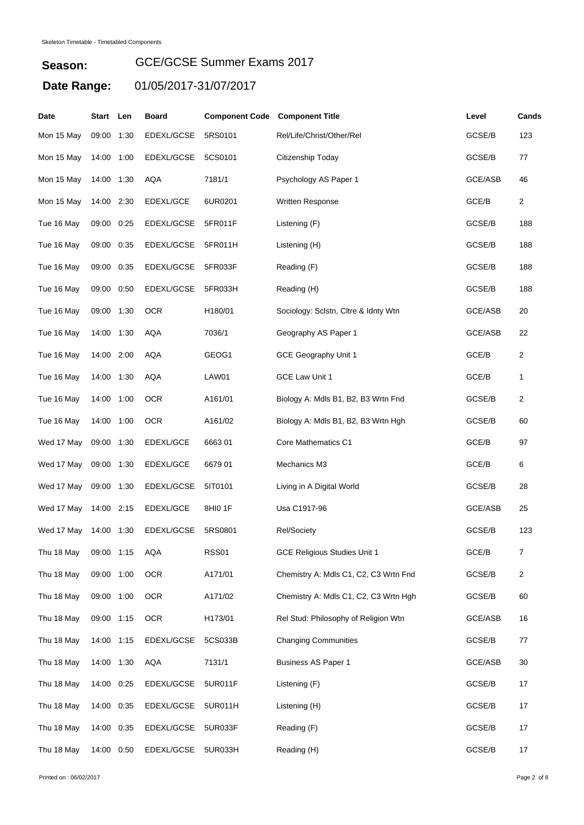| Date       | Start      | Len  | <b>Board</b> | <b>Component Code</b> | <b>Component Title</b>                | Level   | Cands          |
|------------|------------|------|--------------|-----------------------|---------------------------------------|---------|----------------|
| Mon 15 May | 09:00      | 1:30 | EDEXL/GCSE   | 5RS0101               | Rel/Life/Christ/Other/Rel             | GCSE/B  | 123            |
| Mon 15 May | 14:00      | 1:00 | EDEXL/GCSE   | 5CS0101               | Citizenship Today                     | GCSE/B  | 77             |
| Mon 15 May | 14:00 1:30 |      | <b>AQA</b>   | 7181/1                | Psychology AS Paper 1                 | GCE/ASB | 46             |
| Mon 15 May | 14:00 2:30 |      | EDEXL/GCE    | 6UR0201               | Written Response                      | GCE/B   | $\overline{2}$ |
| Tue 16 May | 09:00 0:25 |      | EDEXL/GCSE   | 5FR011F               | Listening (F)                         | GCSE/B  | 188            |
| Tue 16 May | 09:00      | 0:35 | EDEXL/GCSE   | 5FR011H               | Listening (H)                         | GCSE/B  | 188            |
| Tue 16 May | 09:00      | 0:35 | EDEXL/GCSE   | 5FR033F               | Reading (F)                           | GCSE/B  | 188            |
| Tue 16 May | 09:00      | 0:50 | EDEXL/GCSE   | 5FR033H               | Reading (H)                           | GCSE/B  | 188            |
| Tue 16 May | 09:00 1:30 |      | <b>OCR</b>   | H180/01               | Sociology: Sclstn, Cltre & Idnty Wtn  | GCE/ASB | 20             |
| Tue 16 May | 14:00 1:30 |      | <b>AQA</b>   | 7036/1                | Geography AS Paper 1                  | GCE/ASB | 22             |
| Tue 16 May | 14:00      | 2:00 | AQA          | GEOG1                 | GCE Geography Unit 1                  | GCE/B   | 2              |
| Tue 16 May | 14:00 1:30 |      | AQA          | LAW01                 | GCE Law Unit 1                        | GCE/B   | 1              |
| Tue 16 May | 14:00 1:00 |      | <b>OCR</b>   | A161/01               | Biology A: Mdls B1, B2, B3 Wrtn Fnd   | GCSE/B  | 2              |
| Tue 16 May | 14:00 1:00 |      | <b>OCR</b>   | A161/02               | Biology A: Mdls B1, B2, B3 Wrtn Hgh   | GCSE/B  | 60             |
| Wed 17 May | 09:00      | 1:30 | EDEXL/GCE    | 666301                | Core Mathematics C1                   | GCE/B   | 97             |
| Wed 17 May | 09:00 1:30 |      | EDEXL/GCE    | 667901                | Mechanics M3                          | GCE/B   | 6              |
| Wed 17 May | 09:00      | 1:30 | EDEXL/GCSE   | 5IT0101               | Living in A Digital World             | GCSE/B  | 28             |
| Wed 17 May | 14:00 2:15 |      | EDEXL/GCE    | 8HI0 1F               | Usa C1917-96                          | GCE/ASB | 25             |
| Wed 17 May | 14:00      | 1:30 | EDEXL/GCSE   | 5RS0801               | Rel/Society                           | GCSE/B  | 123            |
| Thu 18 May | 09:00 1:15 |      | AQA          | RSS01                 | <b>GCE Religious Studies Unit 1</b>   | GCE/B   | 7              |
| Thu 18 May | 09:00 1:00 |      | <b>OCR</b>   | A171/01               | Chemistry A: Mdls C1, C2, C3 Wrtn Fnd | GCSE/B  | $\overline{c}$ |
| Thu 18 May | 09:00 1:00 |      | <b>OCR</b>   | A171/02               | Chemistry A: Mdls C1, C2, C3 Wrtn Hgh | GCSE/B  | 60             |
| Thu 18 May | 09:00 1:15 |      | <b>OCR</b>   | H173/01               | Rel Stud: Philosophy of Religion Wtn  | GCE/ASB | 16             |
| Thu 18 May | 14:00 1:15 |      | EDEXL/GCSE   | 5CS033B               | <b>Changing Communities</b>           | GCSE/B  | 77             |
| Thu 18 May | 14:00 1:30 |      | AQA          | 7131/1                | <b>Business AS Paper 1</b>            | GCE/ASB | 30             |
| Thu 18 May | 14:00 0:25 |      | EDEXL/GCSE   | 5UR011F               | Listening (F)                         | GCSE/B  | 17             |
| Thu 18 May | 14:00 0:35 |      | EDEXL/GCSE   | 5UR011H               | Listening (H)                         | GCSE/B  | 17             |
| Thu 18 May | 14:00 0:35 |      | EDEXL/GCSE   | 5UR033F               | Reading (F)                           | GCSE/B  | 17             |
| Thu 18 May | 14:00 0:50 |      | EDEXL/GCSE   | 5UR033H               | Reading (H)                           | GCSE/B  | 17             |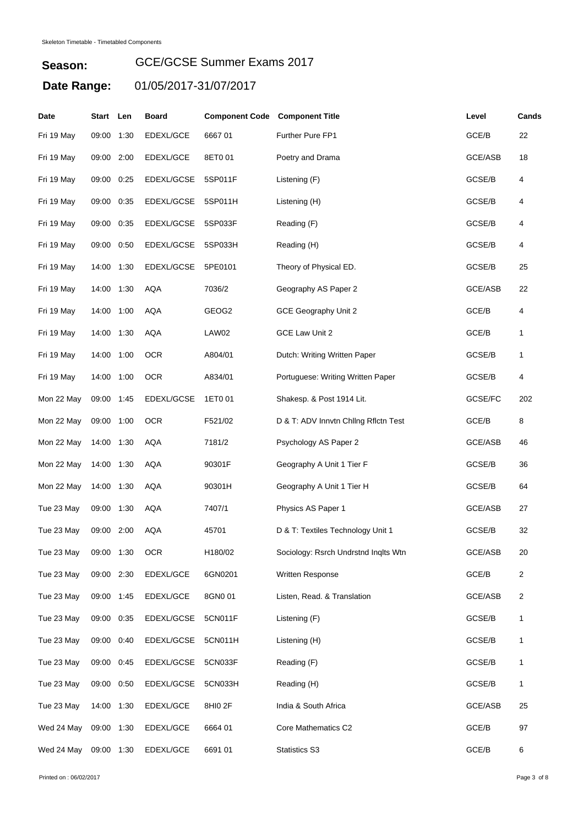| Date       | Start      | Len  | <b>Board</b>    | <b>Component Code Component Title</b> |                                      | Level   | Cands |
|------------|------------|------|-----------------|---------------------------------------|--------------------------------------|---------|-------|
| Fri 19 May | 09:00 1:30 |      | EDEXL/GCE       | 666701                                | Further Pure FP1                     | GCE/B   | 22    |
| Fri 19 May | 09:00 2:00 |      | EDEXL/GCE       | 8ET0 01                               | Poetry and Drama                     | GCE/ASB | 18    |
| Fri 19 May | 09:00      | 0:25 | EDEXL/GCSE      | 5SP011F                               | Listening (F)                        | GCSE/B  | 4     |
| Fri 19 May | 09:00 0:35 |      | EDEXL/GCSE      | 5SP011H                               | Listening (H)                        | GCSE/B  | 4     |
| Fri 19 May | 09:00 0:35 |      | EDEXL/GCSE      | 5SP033F                               | Reading (F)                          | GCSE/B  | 4     |
| Fri 19 May | 09:00      | 0:50 | EDEXL/GCSE      | 5SP033H                               | Reading (H)                          | GCSE/B  | 4     |
| Fri 19 May | 14:00 1:30 |      | EDEXL/GCSE      | 5PE0101                               | Theory of Physical ED.               | GCSE/B  | 25    |
| Fri 19 May | 14:00 1:30 |      | <b>AQA</b>      | 7036/2                                | Geography AS Paper 2                 | GCE/ASB | 22    |
| Fri 19 May | 14:00 1:00 |      | <b>AQA</b>      | GEOG2                                 | GCE Geography Unit 2                 | GCE/B   | 4     |
| Fri 19 May | 14:00 1:30 |      | AQA             | LAW02                                 | GCE Law Unit 2                       | GCE/B   | 1     |
| Fri 19 May | 14:00 1:00 |      | <b>OCR</b>      | A804/01                               | Dutch: Writing Written Paper         | GCSE/B  | 1     |
| Fri 19 May | 14:00 1:00 |      | <b>OCR</b>      | A834/01                               | Portuguese: Writing Written Paper    | GCSE/B  | 4     |
| Mon 22 May | 09:00 1:45 |      | EDEXL/GCSE      | 1ET0 01                               | Shakesp. & Post 1914 Lit.            | GCSE/FC | 202   |
| Mon 22 May | 09:00 1:00 |      | <b>OCR</b>      | F521/02                               | D & T: ADV Innvtn Chilng Rflctn Test | GCE/B   | 8     |
| Mon 22 May | 14:00 1:30 |      | <b>AQA</b>      | 7181/2                                | Psychology AS Paper 2                | GCE/ASB | 46    |
| Mon 22 May | 14:00 1:30 |      | <b>AQA</b>      | 90301F                                | Geography A Unit 1 Tier F            | GCSE/B  | 36    |
| Mon 22 May | 14:00      | 1:30 | AQA             | 90301H                                | Geography A Unit 1 Tier H            | GCSE/B  | 64    |
| Tue 23 May | 09:00      | 1:30 | AQA             | 7407/1                                | Physics AS Paper 1                   | GCE/ASB | 27    |
| Tue 23 May | 09:00      | 2:00 | AQA             | 45701                                 | D & T: Textiles Technology Unit 1    | GCSE/B  | 32    |
| Tue 23 May | 09:00 1:30 |      | OCR <sub></sub> | H180/02                               | Sociology: Rsrch Undrstnd Inqlts Wtn | GCE/ASB | 20    |
| Tue 23 May | 09:00 2:30 |      | EDEXL/GCE       | 6GN0201                               | Written Response                     | GCE/B   | 2     |
| Tue 23 May | 09:00 1:45 |      | EDEXL/GCE       | 8GN0 01                               | Listen, Read. & Translation          | GCE/ASB | 2     |
| Tue 23 May | 09:00 0:35 |      | EDEXL/GCSE      | 5CN011F                               | Listening (F)                        | GCSE/B  | 1     |
| Tue 23 May | 09:00 0:40 |      | EDEXL/GCSE      | 5CN011H                               | Listening (H)                        | GCSE/B  | 1     |
| Tue 23 May | 09:00 0:45 |      | EDEXL/GCSE      | 5CN033F                               | Reading (F)                          | GCSE/B  | 1     |
| Tue 23 May | 09:00 0:50 |      | EDEXL/GCSE      | 5CN033H                               | Reading (H)                          | GCSE/B  | 1     |
| Tue 23 May | 14:00 1:30 |      | EDEXL/GCE       | 8HI0 2F                               | India & South Africa                 | GCE/ASB | 25    |
| Wed 24 May | 09:00 1:30 |      | EDEXL/GCE       | 6664 01                               | Core Mathematics C2                  | GCE/B   | 97    |
| Wed 24 May | 09:00 1:30 |      | EDEXL/GCE       | 6691 01                               | <b>Statistics S3</b>                 | GCE/B   | 6     |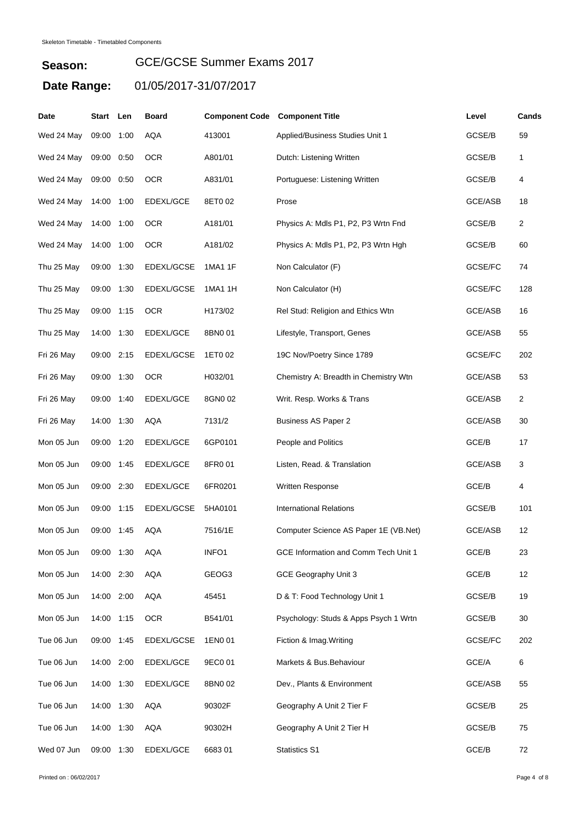**Season:**

#### GCE/GCSE Summer Exams 2017

| Date       | Start Len  |      | Board      | <b>Component Code</b> | <b>Component Title</b>                | Level          | Cands          |
|------------|------------|------|------------|-----------------------|---------------------------------------|----------------|----------------|
| Wed 24 May | 09:00      | 1:00 | <b>AQA</b> | 413001                | Applied/Business Studies Unit 1       | GCSE/B         | 59             |
| Wed 24 May | 09:00      | 0.50 | <b>OCR</b> | A801/01               | Dutch: Listening Written              | GCSE/B         | 1              |
| Wed 24 May | 09:00      | 0:50 | <b>OCR</b> | A831/01               | Portuguese: Listening Written         | GCSE/B         | 4              |
| Wed 24 May | 14:00      | 1:00 | EDEXL/GCE  | 8ET0 02               | Prose                                 | GCE/ASB        | 18             |
| Wed 24 May | 14:00      | 1:00 | <b>OCR</b> | A181/01               | Physics A: Mdls P1, P2, P3 Wrtn Fnd   | GCSE/B         | $\overline{c}$ |
| Wed 24 May | 14:00      | 1:00 | <b>OCR</b> | A181/02               | Physics A: Mdls P1, P2, P3 Wrtn Hgh   | GCSE/B         | 60             |
| Thu 25 May | 09:00      | 1:30 | EDEXL/GCSE | 1MA1 1F               | Non Calculator (F)                    | GCSE/FC        | 74             |
| Thu 25 May | 09:00      | 1:30 | EDEXL/GCSE | 1MA1 1H               | Non Calculator (H)                    | GCSE/FC        | 128            |
| Thu 25 May | 09:00      | 1:15 | <b>OCR</b> | H173/02               | Rel Stud: Religion and Ethics Wtn     | <b>GCE/ASB</b> | 16             |
| Thu 25 May | 14:00      | 1:30 | EDEXL/GCE  | 8BN001                | Lifestyle, Transport, Genes           | GCE/ASB        | 55             |
| Fri 26 May | 09:00      | 2:15 | EDEXL/GCSE | 1ET0 02               | 19C Nov/Poetry Since 1789             | GCSE/FC        | 202            |
| Fri 26 May | 09:00      | 1:30 | <b>OCR</b> | H032/01               | Chemistry A: Breadth in Chemistry Wtn | GCE/ASB        | 53             |
| Fri 26 May | 09:00      | 1:40 | EDEXL/GCE  | 8GN0 02               | Writ. Resp. Works & Trans             | GCE/ASB        | $\overline{2}$ |
| Fri 26 May | 14:00      | 1:30 | AQA        | 7131/2                | <b>Business AS Paper 2</b>            | GCE/ASB        | 30             |
| Mon 05 Jun | 09:00      | 1:20 | EDEXL/GCE  | 6GP0101               | People and Politics                   | GCE/B          | 17             |
| Mon 05 Jun | 09:00      | 1:45 | EDEXL/GCE  | 8FR001                | Listen, Read. & Translation           | <b>GCE/ASB</b> | 3              |
| Mon 05 Jun | 09:00      | 2:30 | EDEXL/GCE  | 6FR0201               | Written Response                      | GCE/B          | 4              |
| Mon 05 Jun | 09:00      | 1:15 | EDEXL/GCSE | 5HA0101               | <b>International Relations</b>        | GCSE/B         | 101            |
| Mon 05 Jun | 09:00      | 1:45 | <b>AQA</b> | 7516/1E               | Computer Science AS Paper 1E (VB.Net) | GCE/ASB        | 12             |
| Mon 05 Jun | 09:00 1:30 |      | AQA        | INFO1                 | GCE Information and Comm Tech Unit 1  | GCE/B          | 23             |
| Mon 05 Jun | 14:00 2:30 |      | AQA        | GEOG3                 | GCE Geography Unit 3                  | GCE/B          | 12             |
| Mon 05 Jun | 14:00 2:00 |      | AQA        | 45451                 | D & T: Food Technology Unit 1         | GCSE/B         | 19             |
| Mon 05 Jun | 14:00 1:15 |      | <b>OCR</b> | B541/01               | Psychology: Studs & Apps Psych 1 Wrtn | GCSE/B         | 30             |
| Tue 06 Jun | 09:00 1:45 |      | EDEXL/GCSE | 1EN0 01               | Fiction & Imag. Writing               | GCSE/FC        | 202            |
| Tue 06 Jun | 14:00 2:00 |      | EDEXL/GCE  | 9EC0 01               | Markets & Bus. Behaviour              | GCE/A          | 6              |
| Tue 06 Jun | 14:00      | 1:30 | EDEXL/GCE  | 8BN0 02               | Dev., Plants & Environment            | GCE/ASB        | 55             |
| Tue 06 Jun | 14:00 1:30 |      | AQA        | 90302F                | Geography A Unit 2 Tier F             | GCSE/B         | 25             |
| Tue 06 Jun | 14:00      | 1:30 | AQA        | 90302H                | Geography A Unit 2 Tier H             | GCSE/B         | 75             |
| Wed 07 Jun | 09:00 1:30 |      | EDEXL/GCE  | 668301                | <b>Statistics S1</b>                  | GCE/B          | 72             |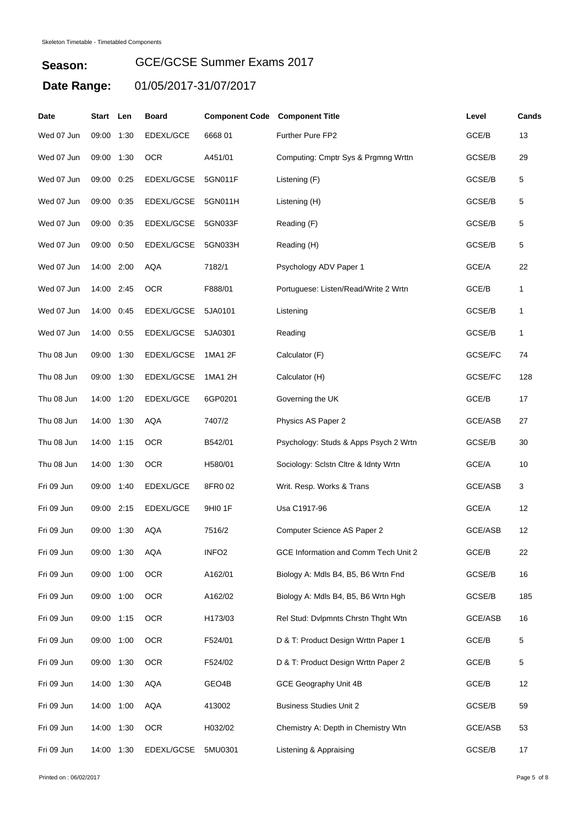| Date       | Start      | Len  | <b>Board</b> | <b>Component Code Component Title</b> |                                       | Level   | Cands |
|------------|------------|------|--------------|---------------------------------------|---------------------------------------|---------|-------|
| Wed 07 Jun | 09:00      | 1:30 | EDEXL/GCE    | 666801                                | Further Pure FP2                      | GCE/B   | 13    |
| Wed 07 Jun | 09:00      | 1:30 | <b>OCR</b>   | A451/01                               | Computing: Cmptr Sys & Prgmng Wrttn   | GCSE/B  | 29    |
| Wed 07 Jun | 09:00      | 0:25 | EDEXL/GCSE   | 5GN011F                               | Listening (F)                         | GCSE/B  | 5     |
| Wed 07 Jun | 09:00      | 0:35 | EDEXL/GCSE   | 5GN011H                               | Listening (H)                         | GCSE/B  | 5     |
| Wed 07 Jun | 09:00      | 0:35 | EDEXL/GCSE   | 5GN033F                               | Reading (F)                           | GCSE/B  | 5     |
| Wed 07 Jun | 09:00      | 0:50 | EDEXL/GCSE   | 5GN033H                               | Reading (H)                           | GCSE/B  | 5     |
| Wed 07 Jun | 14:00      | 2:00 | AQA          | 7182/1                                | Psychology ADV Paper 1                | GCE/A   | 22    |
| Wed 07 Jun | 14:00 2:45 |      | <b>OCR</b>   | F888/01                               | Portuguese: Listen/Read/Write 2 Wrtn  | GCE/B   | 1     |
| Wed 07 Jun | 14:00      | 0:45 | EDEXL/GCSE   | 5JA0101                               | Listening                             | GCSE/B  | 1     |
| Wed 07 Jun | 14:00      | 0:55 | EDEXL/GCSE   | 5JA0301                               | Reading                               | GCSE/B  | 1     |
| Thu 08 Jun | 09:00      | 1:30 | EDEXL/GCSE   | 1MA1 2F                               | Calculator (F)                        | GCSE/FC | 74    |
| Thu 08 Jun | 09:00      | 1:30 | EDEXL/GCSE   | 1MA1 2H                               | Calculator (H)                        | GCSE/FC | 128   |
| Thu 08 Jun | 14:00      | 1:20 | EDEXL/GCE    | 6GP0201                               | Governing the UK                      | GCE/B   | 17    |
| Thu 08 Jun | 14:00      | 1:30 | AQA          | 7407/2                                | Physics AS Paper 2                    | GCE/ASB | 27    |
| Thu 08 Jun | 14:00      | 1:15 | <b>OCR</b>   | B542/01                               | Psychology: Studs & Apps Psych 2 Wrtn | GCSE/B  | 30    |
| Thu 08 Jun | 14:00 1:30 |      | <b>OCR</b>   | H580/01                               | Sociology: Sclstn Cltre & Idnty Wrtn  | GCE/A   | 10    |
| Fri 09 Jun | 09:00      | 1:40 | EDEXL/GCE    | 8FR002                                | Writ. Resp. Works & Trans             | GCE/ASB | 3     |
| Fri 09 Jun | 09:00      | 2:15 | EDEXL/GCE    | 9HI0 1F                               | Usa C1917-96                          | GCE/A   | 12    |
| Fri 09 Jun | 09:00      | 1:30 | AQA          | 7516/2                                | Computer Science AS Paper 2           | GCE/ASB | 12    |
| Fri 09 Jun | 09:00 1:30 |      | AQA          | INFO2                                 | GCE Information and Comm Tech Unit 2  | GCE/B   | 22    |
| Fri 09 Jun | 09:00 1:00 |      | <b>OCR</b>   | A162/01                               | Biology A: Mdls B4, B5, B6 Wrtn Fnd   | GCSE/B  | 16    |
| Fri 09 Jun | 09:00 1:00 |      | <b>OCR</b>   | A162/02                               | Biology A: Mdls B4, B5, B6 Wrtn Hgh   | GCSE/B  | 185   |
| Fri 09 Jun | 09:00 1:15 |      | <b>OCR</b>   | H173/03                               | Rel Stud: Dvlpmnts Chrstn Thght Wtn   | GCE/ASB | 16    |
| Fri 09 Jun | 09:00 1:00 |      | <b>OCR</b>   | F524/01                               | D & T: Product Design Wrttn Paper 1   | GCE/B   | 5     |
| Fri 09 Jun | 09:00 1:30 |      | <b>OCR</b>   | F524/02                               | D & T: Product Design Wrttn Paper 2   | GCE/B   | 5     |
| Fri 09 Jun | 14:00 1:30 |      | AQA          | GEO4B                                 | GCE Geography Unit 4B                 | GCE/B   | 12    |
| Fri 09 Jun | 14:00 1:00 |      | AQA          | 413002                                | <b>Business Studies Unit 2</b>        | GCSE/B  | 59    |
| Fri 09 Jun | 14:00 1:30 |      | <b>OCR</b>   | H032/02                               | Chemistry A: Depth in Chemistry Wtn   | GCE/ASB | 53    |
| Fri 09 Jun | 14:00 1:30 |      | EDEXL/GCSE   | 5MU0301                               | Listening & Appraising                | GCSE/B  | 17    |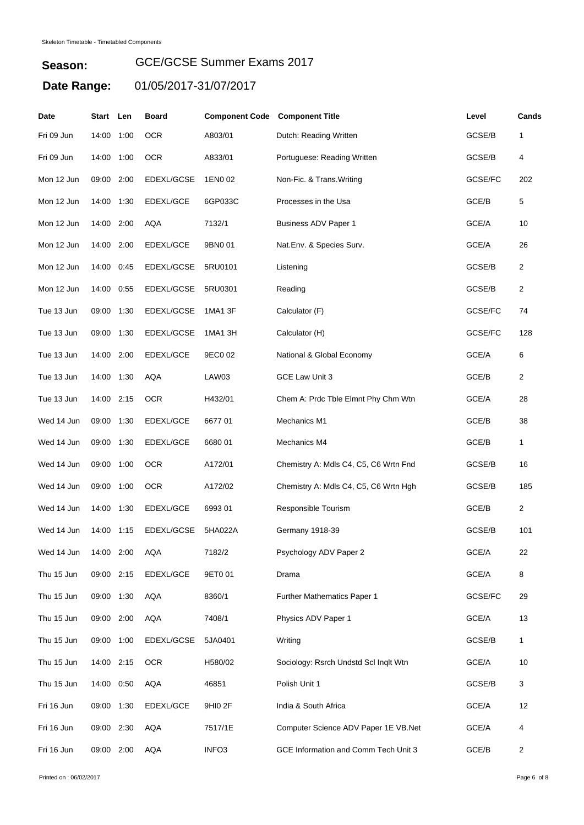| Date       | Start      | Len  | <b>Board</b>      | <b>Component Code</b> | <b>Component Title</b>                | Level   | Cands          |
|------------|------------|------|-------------------|-----------------------|---------------------------------------|---------|----------------|
| Fri 09 Jun | 14:00      | 1:00 | <b>OCR</b>        | A803/01               | Dutch: Reading Written                | GCSE/B  | 1              |
| Fri 09 Jun | 14:00      | 1:00 | <b>OCR</b>        | A833/01               | Portuguese: Reading Written           | GCSE/B  | 4              |
| Mon 12 Jun | 09:00      | 2:00 | EDEXL/GCSE        | 1EN0 02               | Non-Fic. & Trans. Writing             | GCSE/FC | 202            |
| Mon 12 Jun | 14:00      | 1:30 | EDEXL/GCE         | 6GP033C               | Processes in the Usa                  | GCE/B   | 5              |
| Mon 12 Jun | 14:00 2:00 |      | AQA               | 7132/1                | Business ADV Paper 1                  | GCE/A   | 10             |
| Mon 12 Jun | 14:00      | 2:00 | EDEXL/GCE         | 9BN0 01               | Nat.Env. & Species Surv.              | GCE/A   | 26             |
| Mon 12 Jun | 14:00      | 0:45 | EDEXL/GCSE        | 5RU0101               | Listening                             | GCSE/B  | 2              |
| Mon 12 Jun | 14:00      | 0:55 | EDEXL/GCSE        | 5RU0301               | Reading                               | GCSE/B  | $\overline{2}$ |
| Tue 13 Jun | 09:00      | 1:30 | <b>EDEXL/GCSE</b> | 1MA1 3F               | Calculator (F)                        | GCSE/FC | 74             |
| Tue 13 Jun | 09:00      | 1:30 | EDEXL/GCSE        | 1MA1 3H               | Calculator (H)                        | GCSE/FC | 128            |
| Tue 13 Jun | 14:00      | 2:00 | EDEXL/GCE         | 9EC0 02               | National & Global Economy             | GCE/A   | 6              |
| Tue 13 Jun | 14:00 1:30 |      | <b>AQA</b>        | LAW03                 | GCE Law Unit 3                        | GCE/B   | $\overline{c}$ |
| Tue 13 Jun | 14:00 2:15 |      | <b>OCR</b>        | H432/01               | Chem A: Prdc Tble Elmnt Phy Chm Wtn   | GCE/A   | 28             |
| Wed 14 Jun | 09:00      | 1:30 | EDEXL/GCE         | 667701                | Mechanics M1                          | GCE/B   | 38             |
| Wed 14 Jun | 09:00      | 1:30 | EDEXL/GCE         | 668001                | Mechanics M4                          | GCE/B   | 1              |
| Wed 14 Jun | 09:00      | 1:00 | <b>OCR</b>        | A172/01               | Chemistry A: Mdls C4, C5, C6 Wrtn Fnd | GCSE/B  | 16             |
| Wed 14 Jun | 09:00      | 1:00 | <b>OCR</b>        | A172/02               | Chemistry A: Mdls C4, C5, C6 Wrtn Hgh | GCSE/B  | 185            |
| Wed 14 Jun | 14:00      | 1:30 | EDEXL/GCE         | 699301                | Responsible Tourism                   | GCE/B   | $\overline{2}$ |
| Wed 14 Jun | 14:00      | 1:15 | EDEXL/GCSE        | 5HA022A               | Germany 1918-39                       | GCSE/B  | 101            |
| Wed 14 Jun | 14:00 2:00 |      | AQA               | 7182/2                | Psychology ADV Paper 2                | GCE/A   | 22             |
| Thu 15 Jun | 09:00 2:15 |      | EDEXL/GCE         | 9ET0 01               | Drama                                 | GCE/A   | 8              |
| Thu 15 Jun | 09:00 1:30 |      | AQA               | 8360/1                | Further Mathematics Paper 1           | GCSE/FC | 29             |
| Thu 15 Jun | 09:00 2:00 |      | AQA               | 7408/1                | Physics ADV Paper 1                   | GCE/A   | 13             |
| Thu 15 Jun | 09:00 1:00 |      | EDEXL/GCSE        | 5JA0401               | Writing                               | GCSE/B  | 1              |
| Thu 15 Jun | 14:00 2:15 |      | <b>OCR</b>        | H580/02               | Sociology: Rsrch Undstd Scl Inqlt Wtn | GCE/A   | 10             |
| Thu 15 Jun | 14:00      | 0:50 | AQA               | 46851                 | Polish Unit 1                         | GCSE/B  | 3              |
| Fri 16 Jun | 09:00 1:30 |      | EDEXL/GCE         | 9HI0 2F               | India & South Africa                  | GCE/A   | 12             |
| Fri 16 Jun | 09:00 2:30 |      | AQA               | 7517/1E               | Computer Science ADV Paper 1E VB.Net  | GCE/A   | 4              |
| Fri 16 Jun | 09:00 2:00 |      | AQA               | INFO <sub>3</sub>     | GCE Information and Comm Tech Unit 3  | GCE/B   | $\overline{c}$ |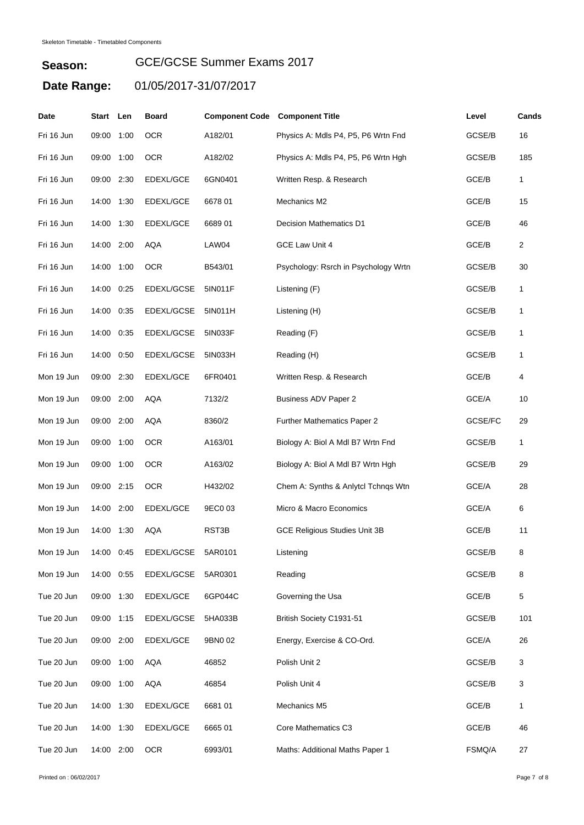| Date       | Start Len  |      | <b>Board</b> | <b>Component Code Component Title</b> |                                      | Level   | Cands |
|------------|------------|------|--------------|---------------------------------------|--------------------------------------|---------|-------|
| Fri 16 Jun | 09:00      | 1:00 | <b>OCR</b>   | A182/01                               | Physics A: Mdls P4, P5, P6 Wrtn Fnd  | GCSE/B  | 16    |
| Fri 16 Jun | 09:00      | 1:00 | <b>OCR</b>   | A182/02                               | Physics A: Mdls P4, P5, P6 Wrtn Hgh  | GCSE/B  | 185   |
| Fri 16 Jun | 09:00 2:30 |      | EDEXL/GCE    | 6GN0401                               | Written Resp. & Research             | GCE/B   | 1     |
| Fri 16 Jun | 14:00      | 1:30 | EDEXL/GCE    | 6678 01                               | Mechanics M2                         | GCE/B   | 15    |
| Fri 16 Jun | 14:00 1:30 |      | EDEXL/GCE    | 668901                                | <b>Decision Mathematics D1</b>       | GCE/B   | 46    |
| Fri 16 Jun | 14:00 2:00 |      | AQA          | LAW04                                 | GCE Law Unit 4                       | GCE/B   | 2     |
| Fri 16 Jun | 14:00      | 1:00 | <b>OCR</b>   | B543/01                               | Psychology: Rsrch in Psychology Wrtn | GCSE/B  | 30    |
| Fri 16 Jun | 14:00      | 0:25 | EDEXL/GCSE   | 5IN011F                               | Listening (F)                        | GCSE/B  | 1     |
| Fri 16 Jun | 14:00      | 0:35 | EDEXL/GCSE   | 5IN011H                               | Listening (H)                        | GCSE/B  | 1     |
| Fri 16 Jun | 14:00      | 0:35 | EDEXL/GCSE   | 5IN033F                               | Reading (F)                          | GCSE/B  | 1     |
| Fri 16 Jun | 14:00      | 0:50 | EDEXL/GCSE   | 5IN033H                               | Reading (H)                          | GCSE/B  | 1     |
| Mon 19 Jun | 09:00      | 2:30 | EDEXL/GCE    | 6FR0401                               | Written Resp. & Research             | GCE/B   | 4     |
| Mon 19 Jun | 09:00 2:00 |      | <b>AQA</b>   | 7132/2                                | <b>Business ADV Paper 2</b>          | GCE/A   | 10    |
| Mon 19 Jun | 09:00 2:00 |      | <b>AQA</b>   | 8360/2                                | Further Mathematics Paper 2          | GCSE/FC | 29    |
| Mon 19 Jun | 09:00      | 1:00 | <b>OCR</b>   | A163/01                               | Biology A: Biol A Mdl B7 Wrtn Fnd    | GCSE/B  | 1     |
| Mon 19 Jun | 09:00      | 1:00 | <b>OCR</b>   | A163/02                               | Biology A: Biol A Mdl B7 Wrtn Hgh    | GCSE/B  | 29    |
| Mon 19 Jun | 09:00 2:15 |      | <b>OCR</b>   | H432/02                               | Chem A: Synths & Anlytcl Tchngs Wtn  | GCE/A   | 28    |
| Mon 19 Jun | 14:00      | 2:00 | EDEXL/GCE    | 9EC0 03                               | Micro & Macro Economics              | GCE/A   | 6     |
| Mon 19 Jun | 14:00      | 1:30 | <b>AQA</b>   | RST3B                                 | <b>GCE Religious Studies Unit 3B</b> | GCE/B   | 11    |
| Mon 19 Jun | 14:00 0:45 |      | EDEXL/GCSE   | 5AR0101                               | Listening                            | GCSE/B  | 8     |
| Mon 19 Jun | 14:00 0:55 |      | EDEXL/GCSE   | 5AR0301                               | Reading                              | GCSE/B  | 8     |
| Tue 20 Jun | 09:00 1:30 |      | EDEXL/GCE    | 6GP044C                               | Governing the Usa                    | GCE/B   | 5     |
| Tue 20 Jun | 09:00 1:15 |      | EDEXL/GCSE   | 5HA033B                               | British Society C1931-51             | GCSE/B  | 101   |
| Tue 20 Jun | 09:00 2:00 |      | EDEXL/GCE    | 9BN002                                | Energy, Exercise & CO-Ord.           | GCE/A   | 26    |
| Tue 20 Jun | 09:00 1:00 |      | <b>AQA</b>   | 46852                                 | Polish Unit 2                        | GCSE/B  | 3     |
| Tue 20 Jun | 09:00 1:00 |      | <b>AQA</b>   | 46854                                 | Polish Unit 4                        | GCSE/B  | 3     |
| Tue 20 Jun | 14:00      | 1:30 | EDEXL/GCE    | 668101                                | Mechanics M5                         | GCE/B   | 1     |
| Tue 20 Jun | 14:00 1:30 |      | EDEXL/GCE    | 666501                                | Core Mathematics C3                  | GCE/B   | 46    |
| Tue 20 Jun | 14:00 2:00 |      | <b>OCR</b>   | 6993/01                               | Maths: Additional Maths Paper 1      | FSMQ/A  | 27    |